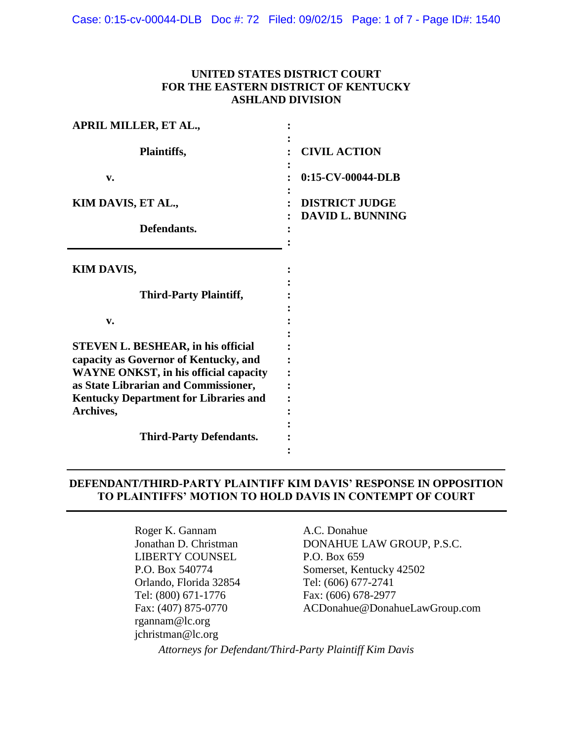Case: 0:15-cv-00044-DLB Doc #: 72 Filed: 09/02/15 Page: 1 of 7 - Page ID#: 1540

# **UNITED STATES DISTRICT COURT FOR THE EASTERN DISTRICT OF KENTUCKY ASHLAND DIVISION**

| <b>APRIL MILLER, ET AL.,</b>                 |                                                  |
|----------------------------------------------|--------------------------------------------------|
| Plaintiffs,                                  | <b>CIVIL ACTION</b>                              |
| v.                                           | 0:15-CV-00044-DLB                                |
| KIM DAVIS, ET AL.,                           | <b>DISTRICT JUDGE</b><br><b>DAVID L. BUNNING</b> |
| Defendants.                                  |                                                  |
| <b>KIM DAVIS,</b>                            |                                                  |
| <b>Third-Party Plaintiff,</b>                |                                                  |
| v.                                           |                                                  |
| <b>STEVEN L. BESHEAR, in his official</b>    |                                                  |
| capacity as Governor of Kentucky, and        |                                                  |
| <b>WAYNE ONKST, in his official capacity</b> |                                                  |
| as State Librarian and Commissioner,         |                                                  |
| <b>Kentucky Department for Libraries and</b> |                                                  |
| Archives,                                    |                                                  |
| <b>Third-Party Defendants.</b>               |                                                  |
|                                              |                                                  |
|                                              |                                                  |

## **DEFENDANT/THIRD-PARTY PLAINTIFF KIM DAVIS' RESPONSE IN OPPOSITION TO PLAINTIFFS' MOTION TO HOLD DAVIS IN CONTEMPT OF COURT**

Roger K. Gannam A.C. Donahue LIBERTY COUNSEL P.O. Box 659 Orlando, Florida 32854<br>
Tel: (800) 671-1776<br>
Fax: (606) 678-2977 Tel: (800) 671-1776 rgannam@lc.org jchristman@lc.org

Jonathan D. Christman DONAHUE LAW GROUP, P.S.C. P.O. Box 540774 Somerset, Kentucky 42502<br>Orlando, Florida 32854 Tel: (606) 677-2741 Fax: (407) 875-0770 ACDonahue@DonahueLawGroup.com

*Attorneys for Defendant/Third-Party Plaintiff Kim Davis*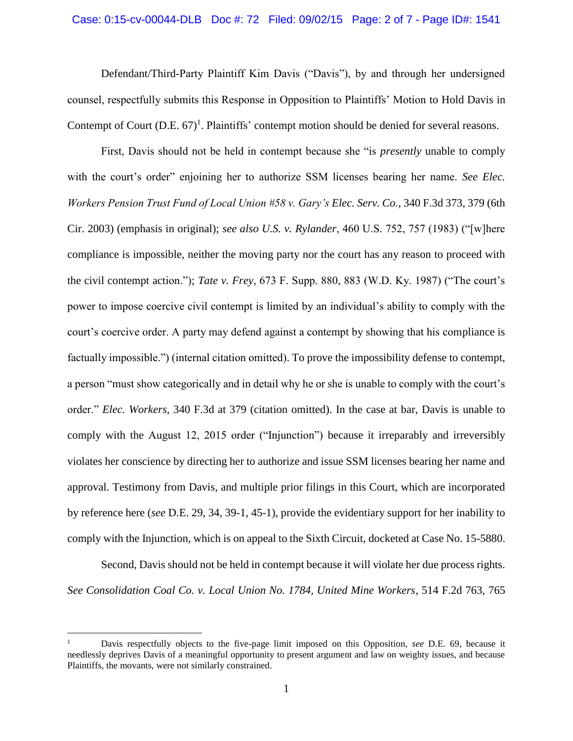#### Case: 0:15-cv-00044-DLB Doc #: 72 Filed: 09/02/15 Page: 2 of 7 - Page ID#: 1541

Defendant/Third-Party Plaintiff Kim Davis ("Davis"), by and through her undersigned counsel, respectfully submits this Response in Opposition to Plaintiffs' Motion to Hold Davis in Contempt of Court (D.E. 67)<sup>1</sup>. Plaintiffs' contempt motion should be denied for several reasons.

First, Davis should not be held in contempt because she "is *presently* unable to comply with the court's order" enjoining her to authorize SSM licenses bearing her name. *See Elec. Workers Pension Trust Fund of Local Union #58 v. Gary's Elec. Serv. Co.*, 340 F.3d 373, 379 (6th Cir. 2003) (emphasis in original); *see also U.S. v. Rylander*, 460 U.S. 752, 757 (1983) ("[w]here compliance is impossible, neither the moving party nor the court has any reason to proceed with the civil contempt action."); *Tate v. Frey*, 673 F. Supp. 880, 883 (W.D. Ky. 1987) ("The court's power to impose coercive civil contempt is limited by an individual's ability to comply with the court's coercive order. A party may defend against a contempt by showing that his compliance is factually impossible.") (internal citation omitted). To prove the impossibility defense to contempt, a person "must show categorically and in detail why he or she is unable to comply with the court's order." *Elec. Workers*, 340 F.3d at 379 (citation omitted). In the case at bar, Davis is unable to comply with the August 12, 2015 order ("Injunction") because it irreparably and irreversibly violates her conscience by directing her to authorize and issue SSM licenses bearing her name and approval. Testimony from Davis, and multiple prior filings in this Court, which are incorporated by reference here (*see* D.E. 29, 34, 39-1, 45-1), provide the evidentiary support for her inability to comply with the Injunction, which is on appeal to the Sixth Circuit, docketed at Case No. 15-5880.

Second, Davis should not be held in contempt because it will violate her due process rights. *See Consolidation Coal Co. v. Local Union No. 1784, United Mine Workers*, 514 F.2d 763, 765

 $\overline{a}$ 

<sup>1</sup> Davis respectfully objects to the five-page limit imposed on this Opposition, *see* D.E. 69, because it needlessly deprives Davis of a meaningful opportunity to present argument and law on weighty issues, and because Plaintiffs, the movants, were not similarly constrained.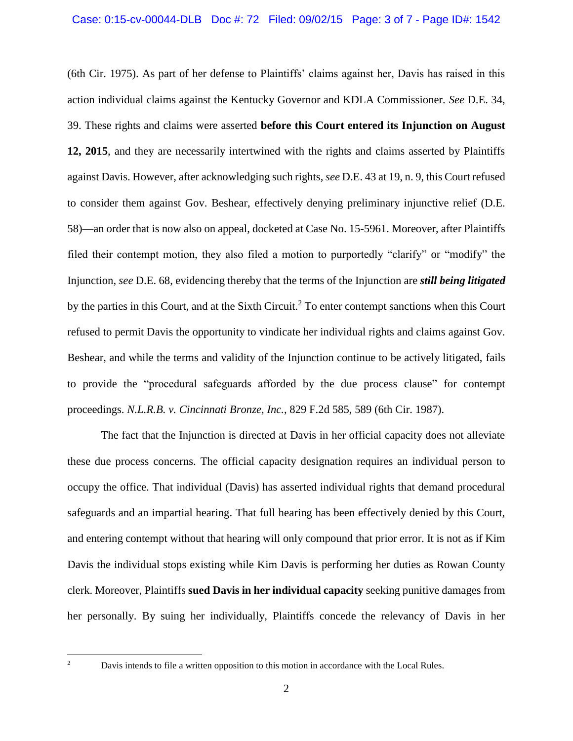(6th Cir. 1975). As part of her defense to Plaintiffs' claims against her, Davis has raised in this action individual claims against the Kentucky Governor and KDLA Commissioner. *See* D.E. 34, 39. These rights and claims were asserted **before this Court entered its Injunction on August 12, 2015**, and they are necessarily intertwined with the rights and claims asserted by Plaintiffs against Davis. However, after acknowledging such rights, *see* D.E. 43 at 19, n. 9, this Court refused to consider them against Gov. Beshear, effectively denying preliminary injunctive relief (D.E. 58)—an order that is now also on appeal, docketed at Case No. 15-5961. Moreover, after Plaintiffs filed their contempt motion, they also filed a motion to purportedly "clarify" or "modify" the Injunction, *see* D.E. 68, evidencing thereby that the terms of the Injunction are *still being litigated* by the parties in this Court, and at the Sixth Circuit.<sup>2</sup> To enter contempt sanctions when this Court refused to permit Davis the opportunity to vindicate her individual rights and claims against Gov. Beshear, and while the terms and validity of the Injunction continue to be actively litigated, fails to provide the "procedural safeguards afforded by the due process clause" for contempt proceedings. *N.L.R.B. v. Cincinnati Bronze, Inc.*, 829 F.2d 585, 589 (6th Cir. 1987).

The fact that the Injunction is directed at Davis in her official capacity does not alleviate these due process concerns. The official capacity designation requires an individual person to occupy the office. That individual (Davis) has asserted individual rights that demand procedural safeguards and an impartial hearing. That full hearing has been effectively denied by this Court, and entering contempt without that hearing will only compound that prior error. It is not as if Kim Davis the individual stops existing while Kim Davis is performing her duties as Rowan County clerk. Moreover, Plaintiffs **sued Davis in her individual capacity** seeking punitive damages from her personally. By suing her individually, Plaintiffs concede the relevancy of Davis in her

 $\overline{c}$ 

<sup>2</sup> Davis intends to file a written opposition to this motion in accordance with the Local Rules.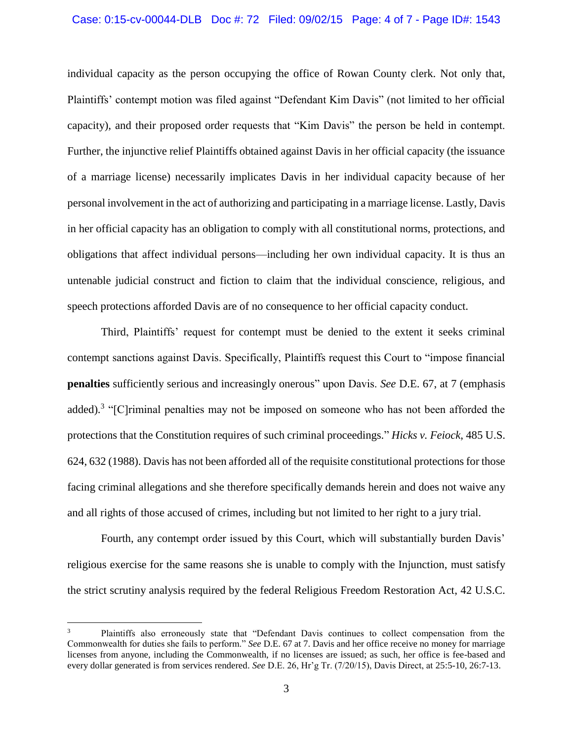#### Case: 0:15-cv-00044-DLB Doc #: 72 Filed: 09/02/15 Page: 4 of 7 - Page ID#: 1543

individual capacity as the person occupying the office of Rowan County clerk. Not only that, Plaintiffs' contempt motion was filed against "Defendant Kim Davis" (not limited to her official capacity), and their proposed order requests that "Kim Davis" the person be held in contempt. Further, the injunctive relief Plaintiffs obtained against Davis in her official capacity (the issuance of a marriage license) necessarily implicates Davis in her individual capacity because of her personal involvement in the act of authorizing and participating in a marriage license. Lastly, Davis in her official capacity has an obligation to comply with all constitutional norms, protections, and obligations that affect individual persons—including her own individual capacity. It is thus an untenable judicial construct and fiction to claim that the individual conscience, religious, and speech protections afforded Davis are of no consequence to her official capacity conduct.

Third, Plaintiffs' request for contempt must be denied to the extent it seeks criminal contempt sanctions against Davis. Specifically, Plaintiffs request this Court to "impose financial **penalties** sufficiently serious and increasingly onerous" upon Davis. *See* D.E. 67, at 7 (emphasis added).<sup>3</sup> "[C]riminal penalties may not be imposed on someone who has not been afforded the protections that the Constitution requires of such criminal proceedings." *Hicks v. Feiock*, 485 U.S. 624, 632 (1988). Davis has not been afforded all of the requisite constitutional protections for those facing criminal allegations and she therefore specifically demands herein and does not waive any and all rights of those accused of crimes, including but not limited to her right to a jury trial.

Fourth, any contempt order issued by this Court, which will substantially burden Davis' religious exercise for the same reasons she is unable to comply with the Injunction, must satisfy the strict scrutiny analysis required by the federal Religious Freedom Restoration Act, 42 U.S.C.

 $\overline{a}$ 

Plaintiffs also erroneously state that "Defendant Davis continues to collect compensation from the Commonwealth for duties she fails to perform." *See* D.E. 67 at 7. Davis and her office receive no money for marriage licenses from anyone, including the Commonwealth, if no licenses are issued; as such, her office is fee-based and every dollar generated is from services rendered. *See* D.E. 26, Hr'g Tr. (7/20/15), Davis Direct, at 25:5-10, 26:7-13.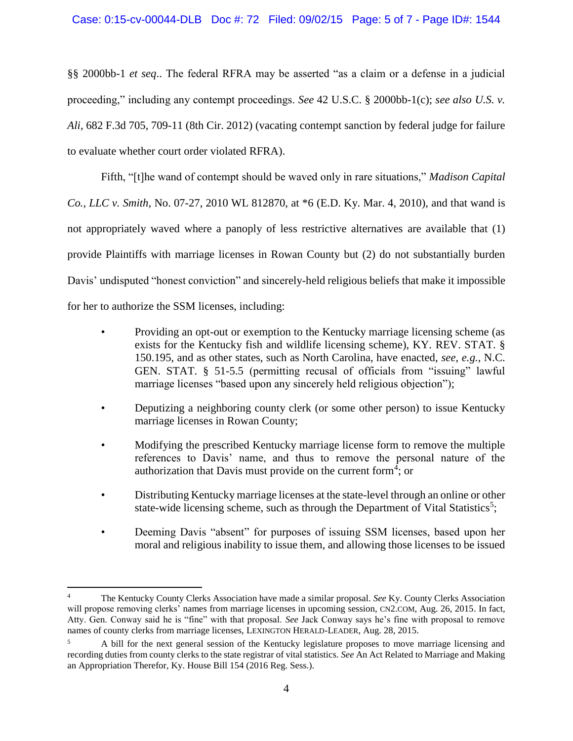### Case: 0:15-cv-00044-DLB Doc #: 72 Filed: 09/02/15 Page: 5 of 7 - Page ID#: 1544

§§ 2000bb-1 *et seq*.. The federal RFRA may be asserted "as a claim or a defense in a judicial proceeding," including any contempt proceedings. *See* 42 U.S.C. § 2000bb-1(c); *see also U.S. v. Ali*, 682 F.3d 705, 709-11 (8th Cir. 2012) (vacating contempt sanction by federal judge for failure to evaluate whether court order violated RFRA).

Fifth, "[t]he wand of contempt should be waved only in rare situations," *Madison Capital Co., LLC v. Smith*, No. 07-27, 2010 WL 812870, at \*6 (E.D. Ky. Mar. 4, 2010), and that wand is not appropriately waved where a panoply of less restrictive alternatives are available that (1) provide Plaintiffs with marriage licenses in Rowan County but (2) do not substantially burden Davis' undisputed "honest conviction" and sincerely-held religious beliefs that make it impossible for her to authorize the SSM licenses, including:

- Providing an opt-out or exemption to the Kentucky marriage licensing scheme (as exists for the Kentucky fish and wildlife licensing scheme), KY. REV. STAT. § 150.195, and as other states, such as North Carolina, have enacted, *see*, *e.g.*, N.C. GEN. STAT. § 51-5.5 (permitting recusal of officials from "issuing" lawful marriage licenses "based upon any sincerely held religious objection");
- Deputizing a neighboring county clerk (or some other person) to issue Kentucky marriage licenses in Rowan County;
- Modifying the prescribed Kentucky marriage license form to remove the multiple references to Davis' name, and thus to remove the personal nature of the authorization that Davis must provide on the current form<sup>4</sup>; or
- Distributing Kentucky marriage licenses at the state-level through an online or other state-wide licensing scheme, such as through the Department of Vital Statistics<sup>5</sup>;
- Deeming Davis "absent" for purposes of issuing SSM licenses, based upon her moral and religious inability to issue them, and allowing those licenses to be issued

 $\overline{a}$ 

<sup>4</sup> The Kentucky County Clerks Association have made a similar proposal. *See* Ky. County Clerks Association will propose removing clerks' names from marriage licenses in upcoming session, CN2.COM, Aug. 26, 2015. In fact, Atty. Gen. Conway said he is "fine" with that proposal. *See* Jack Conway says he's fine with proposal to remove names of county clerks from marriage licenses, LEXINGTON HERALD-LEADER, Aug. 28, 2015.

<sup>5</sup> A bill for the next general session of the Kentucky legislature proposes to move marriage licensing and recording duties from county clerks to the state registrar of vital statistics. *See* An Act Related to Marriage and Making an Appropriation Therefor, Ky. House Bill 154 (2016 Reg. Sess.).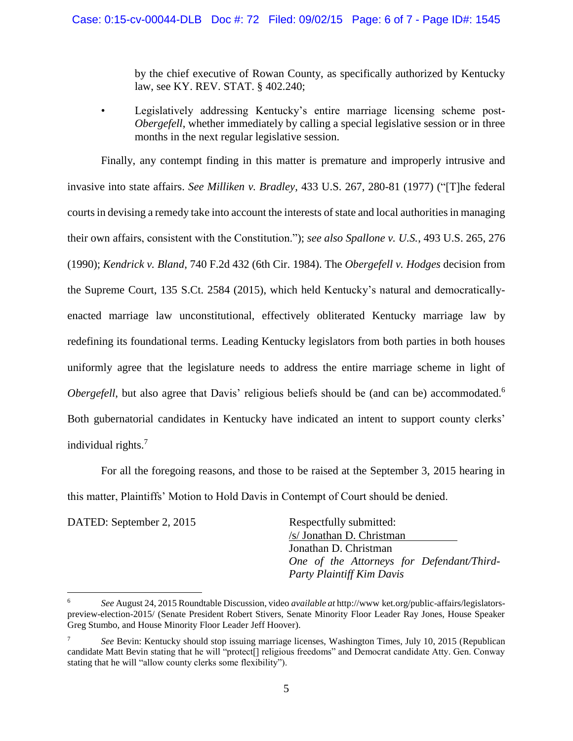by the chief executive of Rowan County, as specifically authorized by Kentucky law, see KY. REV. STAT. § 402.240;

• Legislatively addressing Kentucky's entire marriage licensing scheme post-*Obergefell*, whether immediately by calling a special legislative session or in three months in the next regular legislative session.

 Finally, any contempt finding in this matter is premature and improperly intrusive and invasive into state affairs. *See Milliken v. Bradley*, 433 U.S. 267, 280-81 (1977) ("[T]he federal courts in devising a remedy take into account the interests of state and local authorities in managing their own affairs, consistent with the Constitution."); *see also Spallone v. U.S.*, 493 U.S. 265, 276 (1990); *Kendrick v. Bland*, 740 F.2d 432 (6th Cir. 1984). The *Obergefell v. Hodges* decision from the Supreme Court, 135 S.Ct. 2584 (2015), which held Kentucky's natural and democraticallyenacted marriage law unconstitutional, effectively obliterated Kentucky marriage law by redefining its foundational terms. Leading Kentucky legislators from both parties in both houses uniformly agree that the legislature needs to address the entire marriage scheme in light of *Obergefell*, but also agree that Davis' religious beliefs should be (and can be) accommodated.<sup>6</sup> Both gubernatorial candidates in Kentucky have indicated an intent to support county clerks' individual rights.<sup>7</sup>

 For all the foregoing reasons, and those to be raised at the September 3, 2015 hearing in this matter, Plaintiffs' Motion to Hold Davis in Contempt of Court should be denied.

DATED: September 2, 2015 Respectfully submitted:

 $\overline{a}$ 

/s/ Jonathan D. Christman Jonathan D. Christman *One of the Attorneys for Defendant/Third-Party Plaintiff Kim Davis*

<sup>6</sup> *See* August 24, 2015 Roundtable Discussion, video *available at* http://www ket.org/public-affairs/legislatorspreview-election-2015/ (Senate President Robert Stivers, Senate Minority Floor Leader Ray Jones, House Speaker Greg Stumbo, and House Minority Floor Leader Jeff Hoover).

<sup>7</sup> *See* Bevin: Kentucky should stop issuing marriage licenses, Washington Times, July 10, 2015 (Republican candidate Matt Bevin stating that he will "protect[] religious freedoms" and Democrat candidate Atty. Gen. Conway stating that he will "allow county clerks some flexibility").